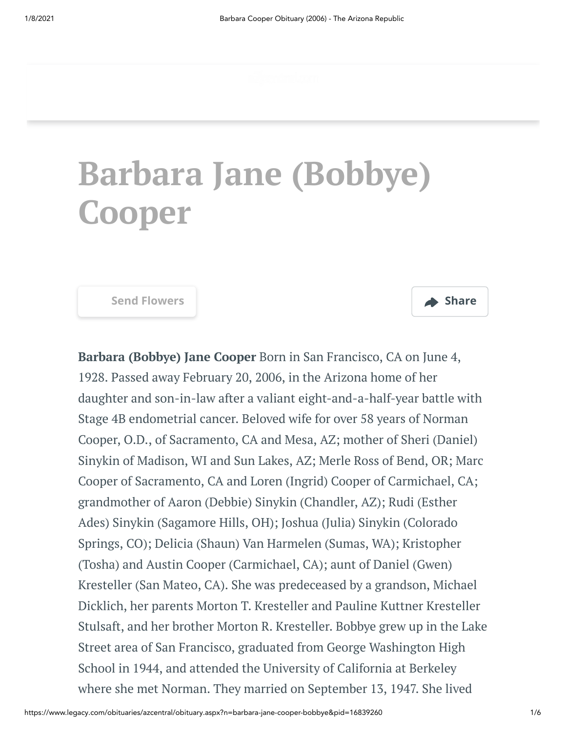# **Barbara Jane (Bobbye) Cooper**



**Barbara (Bobbye) Jane Cooper** Born in San Francisco, CA on June 4, 1928. Passed away February 20, 2006, in the Arizona home of her daughter and son-in-law after a valiant eight-and-a-half-year battle with Stage 4B endometrial cancer. Beloved wife for over 58 years of Norman Cooper, O.D., of Sacramento, CA and Mesa, AZ; mother of Sheri (Daniel) Sinykin of Madison, WI and Sun Lakes, AZ; Merle Ross of Bend, OR; Marc Cooper of Sacramento, CA and Loren (Ingrid) Cooper of Carmichael, CA; grandmother of Aaron (Debbie) Sinykin (Chandler, AZ); Rudi (Esther Ades) Sinykin (Sagamore Hills, OH); Joshua (Julia) Sinykin (Colorado Springs, CO); Delicia (Shaun) Van Harmelen (Sumas, WA); Kristopher (Tosha) and Austin Cooper (Carmichael, CA); aunt of Daniel (Gwen) Kresteller (San Mateo, CA). She was predeceased by a grandson, Michael Dicklich, her parents Morton T. Kresteller and Pauline Kuttner Kresteller Stulsaft, and her brother Morton R. Kresteller. Bobbye grew up in the Lake Street area of San Francisco, graduated from George Washington High School in 1944, and attended the University of California at Berkeley where she met Norman. They married on September 13, 1947. She lived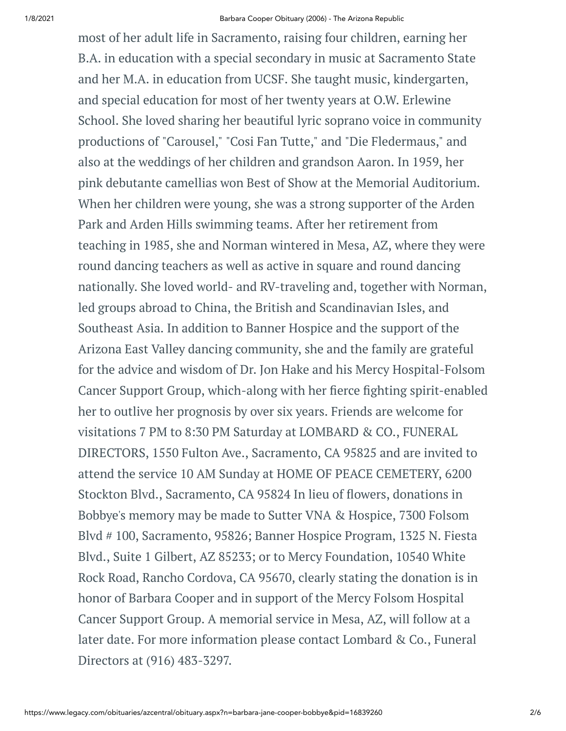most of her adult life in Sacramento, raising four children, earning her B.A. in education with a special secondary in music at Sacramento State and her M.A. in education from UCSF. She taught music, kindergarten, and special education for most of her twenty years at O.W. Erlewine School. She loved sharing her beautiful lyric soprano voice in community productions of "Carousel," "Cosi Fan Tutte," and "Die Fledermaus," and also at the weddings of her children and grandson Aaron. In 1959, her pink debutante camellias won Best of Show at the Memorial Auditorium. When her children were young, she was a strong supporter of the Arden Park and Arden Hills swimming teams. After her retirement from teaching in 1985, she and Norman wintered in Mesa, AZ, where they were round dancing teachers as well as active in square and round dancing nationally. She loved world- and RV-traveling and, together with Norman, led groups abroad to China, the British and Scandinavian Isles, and Southeast Asia. In addition to Banner Hospice and the support of the Arizona East Valley dancing community, she and the family are grateful for the advice and wisdom of Dr. Jon Hake and his Mercy Hospital-Folsom Cancer Support Group, which-along with her fierce fighting spirit-enabled her to outlive her prognosis by over six years. Friends are welcome for visitations 7 PM to 8:30 PM Saturday at LOMBARD & CO., FUNERAL DIRECTORS, 1550 Fulton Ave., Sacramento, CA 95825 and are invited to attend the service 10 AM Sunday at HOME OF PEACE CEMETERY, 6200 Stockton Blvd., Sacramento, CA 95824 In lieu of flowers, donations in Bobbye's memory may be made to Sutter VNA & Hospice, 7300 Folsom Blvd # 100, Sacramento, 95826; Banner Hospice Program, 1325 N. Fiesta Blvd., Suite 1 Gilbert, AZ 85233; or to Mercy Foundation, 10540 White Rock Road, Rancho Cordova, CA 95670, clearly stating the donation is in honor of Barbara Cooper and in support of the Mercy Folsom Hospital Cancer Support Group. A memorial service in Mesa, AZ, will follow at a later date. For more information please contact Lombard & Co., Funeral Directors at (916) 483-3297.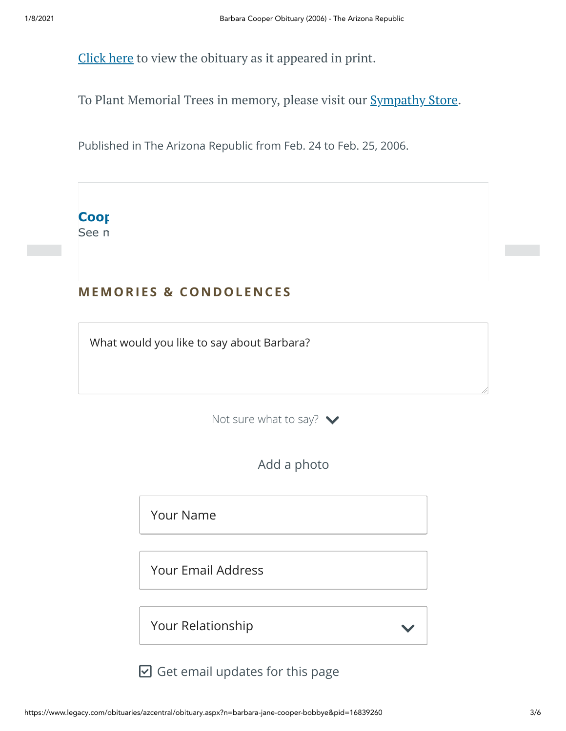[Click](https://www.legacy.com/Images/Cobrands/AZCentral/Photos/PDF/0004545763-01_02242006.pdf) here to view the obituary as it appeared in print.

To Plant Memorial Trees in memory, please visit our **[Sympathy](https://sympathy.legacy.com/en-us/funeral-flowers/name/barbara-cooper-funeral-flowers/p16839260/?affiliateId=45&pm=240) Store**.

Published in The Arizona Republic from Feb. 24 to Feb. 25, 2006.



# **MEMORIES & CO N DOLE N CES**

What would you like to say about Barbara?

Not sure what to say?  $\blacktriangleright$ 



Your Name

Your Email Address

Your Relationship

 $\boxdot$  Get email updates for this page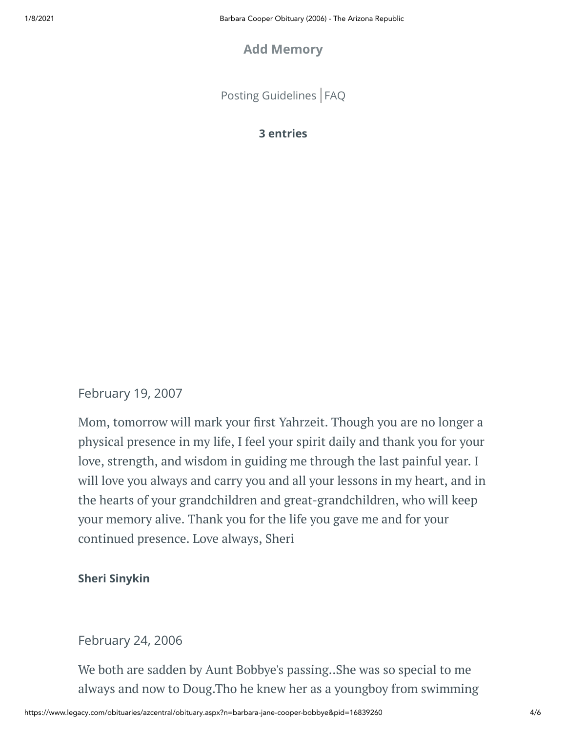#### **Add Memory**

[Posting Guidelines](https://www.legacy.com/guestbooks/posting-guidelines.aspx?n=Barbara-Cooper&pid=16839260) | [FAQ](https://www.legacy.com/guestbooks/faq.aspx?n=Barbara-Cooper&pid=16839260)

#### **3 entries**

#### February 19, 2007

Mom, tomorrow will mark your first Yahrzeit. Though you are no longer a physical presence in my life, I feel your spirit daily and thank you for your love, strength, and wisdom in guiding me through the last painful year. I will love you always and carry you and all your lessons in my heart, and in the hearts of your grandchildren and great-grandchildren, who will keep your memory alive. Thank you for the life you gave me and for your continued presence. Love always, Sheri

#### **Sheri Sinykin**

#### February 24, 2006

We both are sadden by Aunt Bobbye's passing..She was so special to me always and now to Doug.Tho he knew her as a youngboy from swimming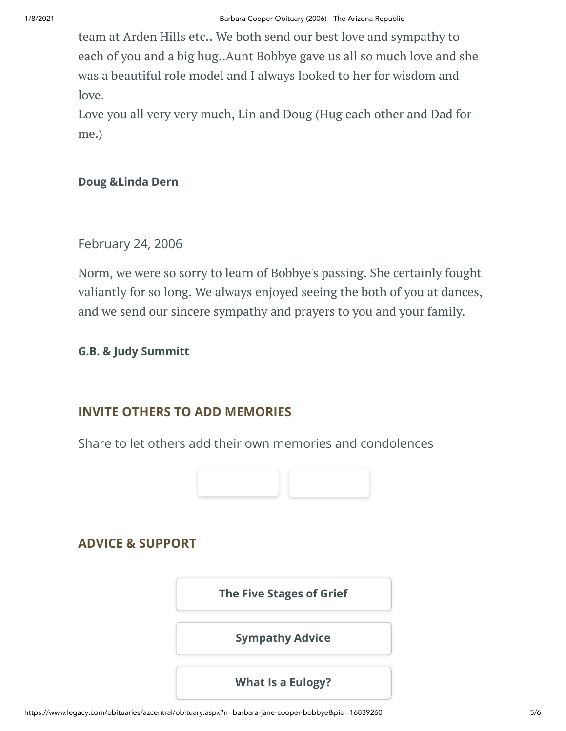team at Arden Hills etc.. We both send our best love and sympathy to each of you and a big hug..Aunt Bobbye gave us all so much love and she was a beautiful role model and I always looked to her for wisdom and love.

Love you all very very much, Lin and Doug (Hug each other and Dad for me.)

#### **Doug &Linda Dern**

#### February 24, 2006

Norm, we were so sorry to learn of Bobbye's passing. She certainly fought valiantly for so long. We always enjoyed seeing the both of you at dances, and we send our sincere sympathy and prayers to you and your family.

#### **G.B. & Judy Summitt**

### **INVITE OTHERS TO ADD MEMORIES**

Share to let others add their own memories and condolences



## **ADVICE & SUPPORT**